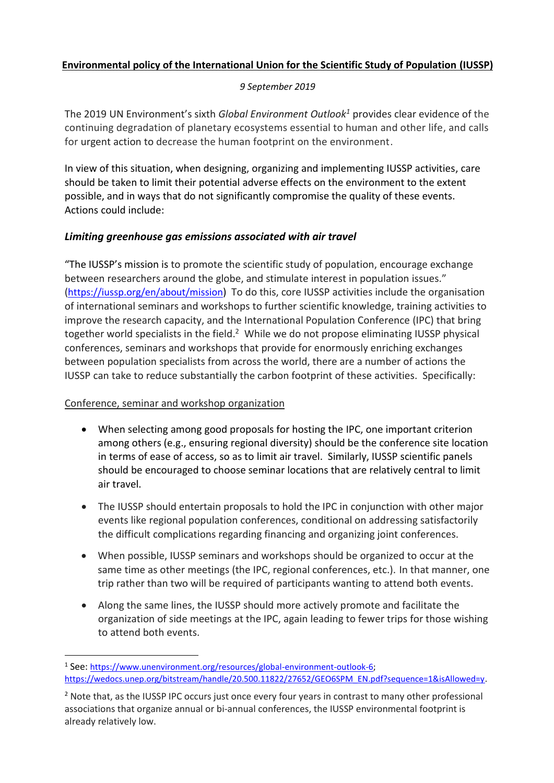# **Environmental policy of the International Union for the Scientific Study of Population (IUSSP)**

### *9 September 2019*

The 2019 UN Environment's sixth *Global Environment Outlook<sup>1</sup>* provides clear evidence of the continuing degradation of planetary ecosystems essential to human and other life, and calls for urgent action to decrease the human footprint on the environment.

In view of this situation, when designing, organizing and implementing IUSSP activities, care should be taken to limit their potential adverse effects on the environment to the extent possible, and in ways that do not significantly compromise the quality of these events. Actions could include:

### *Limiting greenhouse gas emissions associated with air travel*

"The IUSSP's mission is to promote the scientific study of population, encourage exchange between researchers around the globe, and stimulate interest in population issues." (<https://iussp.org/en/about/mission>) To do this, core IUSSP activities include the organisation of international seminars and workshops to further scientific knowledge, training activities to improve the research capacity, and the International Population Conference (IPC) that bring together world specialists in the field.<sup>2</sup> While we do not propose eliminating IUSSP physical conferences, seminars and workshops that provide for enormously enriching exchanges between population specialists from across the world, there are a number of actions the IUSSP can take to reduce substantially the carbon footprint of these activities. Specifically:

#### Conference, seminar and workshop organization

- When selecting among good proposals for hosting the IPC, one important criterion among others (e.g., ensuring regional diversity) should be the conference site location in terms of ease of access, so as to limit air travel. Similarly, IUSSP scientific panels should be encouraged to choose seminar locations that are relatively central to limit air travel.
- The IUSSP should entertain proposals to hold the IPC in conjunction with other major events like regional population conferences, conditional on addressing satisfactorily the difficult complications regarding financing and organizing joint conferences.
- When possible, IUSSP seminars and workshops should be organized to occur at the same time as other meetings (the IPC, regional conferences, etc.). In that manner, one trip rather than two will be required of participants wanting to attend both events.
- Along the same lines, the IUSSP should more actively promote and facilitate the organization of side meetings at the IPC, again leading to fewer trips for those wishing to attend both events.

<sup>1</sup> See: [https://www.unenvironment.org/resources/global-environment-outlook-6;](https://www.unenvironment.org/resources/global-environment-outlook-6)  [https://wedocs.unep.org/bitstream/handle/20.500.11822/27652/GEO6SPM\\_EN.pdf?sequence=1&isAllowed=y.](https://wedocs.unep.org/bitstream/handle/20.500.11822/27652/GEO6SPM_EN.pdf?sequence=1&isAllowed=y)

<sup>&</sup>lt;sup>2</sup> Note that, as the IUSSP IPC occurs just once every four years in contrast to many other professional associations that organize annual or bi-annual conferences, the IUSSP environmental footprint is already relatively low.